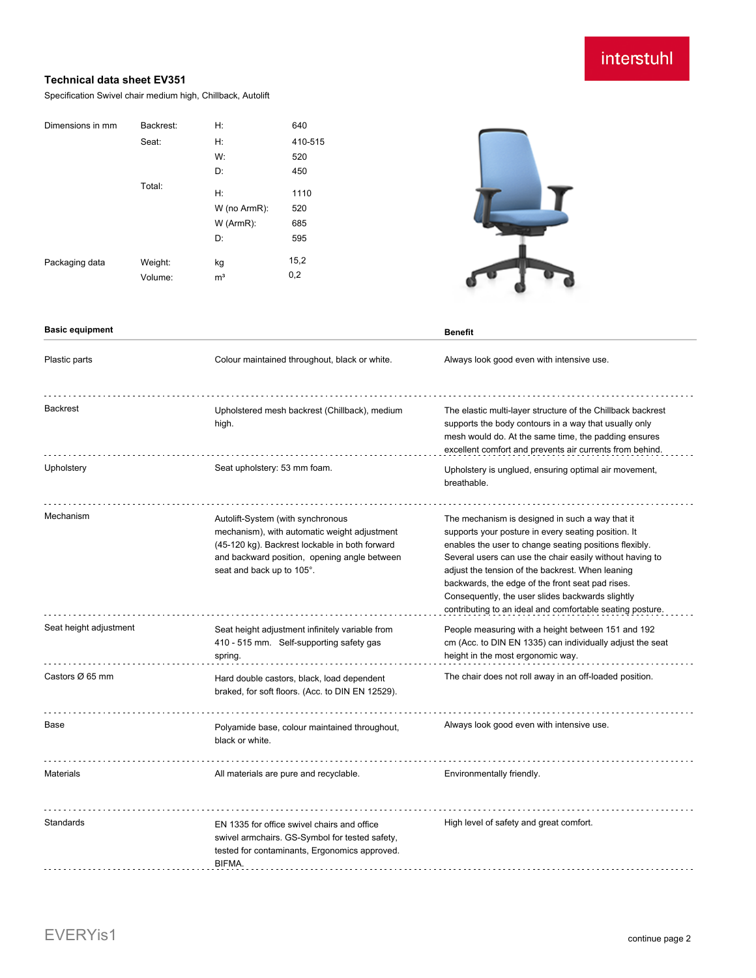# interstuhl

### **Technical data sheet EV351**

Specification Swivel chair medium high, Chillback, Autolift

| Dimensions in mm | Backrest: | H:             | 640     |
|------------------|-----------|----------------|---------|
|                  | Seat:     | Н:             | 410-515 |
|                  |           | W:             | 520     |
|                  |           | D:             | 450     |
|                  | Total:    | H:             | 1110    |
|                  |           |                |         |
|                  |           | W (no ArmR):   | 520     |
|                  |           | $W$ (ArmR):    | 685     |
|                  |           | D:             | 595     |
| Packaging data   | Weight:   | kg             | 15,2    |
|                  |           |                |         |
|                  | Volume:   | m <sup>3</sup> | 0,2     |



| <b>Basic equipment</b> |                                                                                                                                                                                                                  | <b>Benefit</b>                                                                                                                                                                                                                                                                                                                                                                                                                                        |
|------------------------|------------------------------------------------------------------------------------------------------------------------------------------------------------------------------------------------------------------|-------------------------------------------------------------------------------------------------------------------------------------------------------------------------------------------------------------------------------------------------------------------------------------------------------------------------------------------------------------------------------------------------------------------------------------------------------|
| Plastic parts          | Colour maintained throughout, black or white.                                                                                                                                                                    | Always look good even with intensive use.                                                                                                                                                                                                                                                                                                                                                                                                             |
| <b>Backrest</b>        | Upholstered mesh backrest (Chillback), medium<br>high.                                                                                                                                                           | The elastic multi-layer structure of the Chillback backrest<br>supports the body contours in a way that usually only<br>mesh would do. At the same time, the padding ensures<br>excellent comfort and prevents air currents from behind.                                                                                                                                                                                                              |
| Upholstery             | Seat upholstery: 53 mm foam.                                                                                                                                                                                     | Upholstery is unglued, ensuring optimal air movement,<br>breathable.                                                                                                                                                                                                                                                                                                                                                                                  |
| Mechanism              | Autolift-System (with synchronous<br>mechanism), with automatic weight adjustment<br>(45-120 kg). Backrest lockable in both forward<br>and backward position, opening angle between<br>seat and back up to 105°. | The mechanism is designed in such a way that it<br>supports your posture in every seating position. It<br>enables the user to change seating positions flexibly.<br>Several users can use the chair easily without having to<br>adjust the tension of the backrest. When leaning<br>backwards, the edge of the front seat pad rises.<br>Consequently, the user slides backwards slightly<br>contributing to an ideal and comfortable seating posture. |
| Seat height adjustment | Seat height adjustment infinitely variable from<br>410 - 515 mm. Self-supporting safety gas<br>spring.                                                                                                           | People measuring with a height between 151 and 192<br>cm (Acc. to DIN EN 1335) can individually adjust the seat<br>height in the most ergonomic way.                                                                                                                                                                                                                                                                                                  |
| Castors Ø 65 mm        | Hard double castors, black, load dependent<br>braked, for soft floors. (Acc. to DIN EN 12529).                                                                                                                   | The chair does not roll away in an off-loaded position.                                                                                                                                                                                                                                                                                                                                                                                               |
| Base                   | Polyamide base, colour maintained throughout,<br>black or white.                                                                                                                                                 | Always look good even with intensive use.                                                                                                                                                                                                                                                                                                                                                                                                             |
| <b>Materials</b>       | All materials are pure and recyclable.                                                                                                                                                                           | Environmentally friendly.                                                                                                                                                                                                                                                                                                                                                                                                                             |
| Standards              | EN 1335 for office swivel chairs and office<br>swivel armchairs. GS-Symbol for tested safety,<br>tested for contaminants, Ergonomics approved.<br>BIFMA.                                                         | High level of safety and great comfort.                                                                                                                                                                                                                                                                                                                                                                                                               |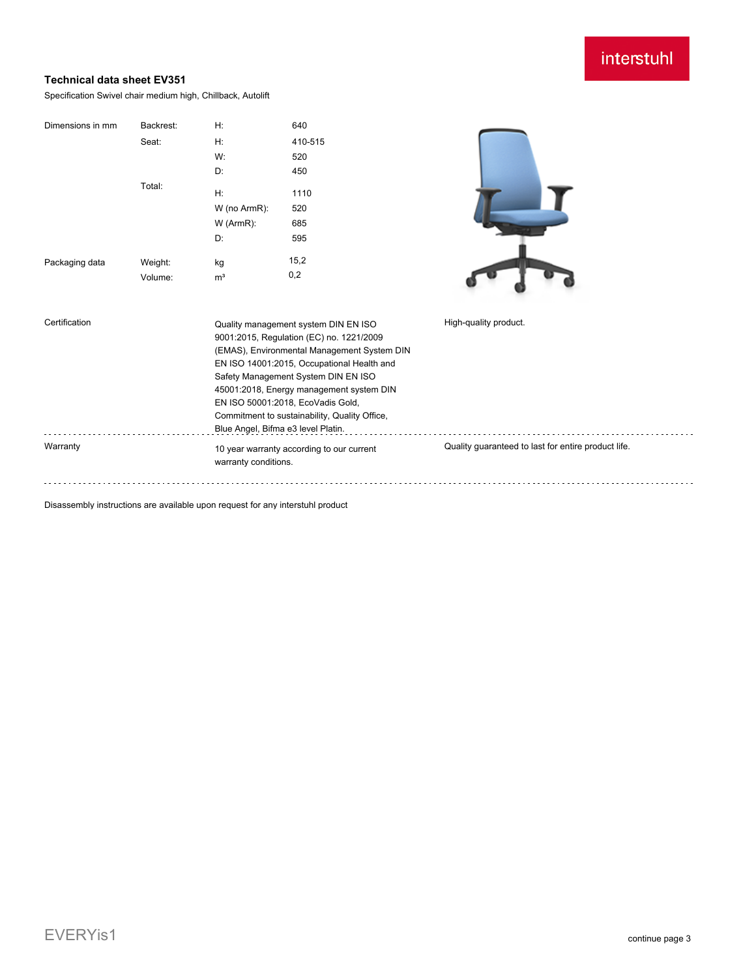## interstuhl

### **Technical data sheet EV351**

Specification Swivel chair medium high, Chillback, Autolift

| Dimensions in mm | Backrest: | H:                                                                                                                                                                                                                                                                                                                                                                                           | 640                                       |                                                     |
|------------------|-----------|----------------------------------------------------------------------------------------------------------------------------------------------------------------------------------------------------------------------------------------------------------------------------------------------------------------------------------------------------------------------------------------------|-------------------------------------------|-----------------------------------------------------|
|                  | Seat:     | Н:                                                                                                                                                                                                                                                                                                                                                                                           | 410-515                                   |                                                     |
|                  |           | W:                                                                                                                                                                                                                                                                                                                                                                                           | 520                                       |                                                     |
|                  |           | D:                                                                                                                                                                                                                                                                                                                                                                                           | 450                                       |                                                     |
|                  | Total:    | H:                                                                                                                                                                                                                                                                                                                                                                                           | 1110                                      |                                                     |
|                  |           | W (no ArmR):                                                                                                                                                                                                                                                                                                                                                                                 | 520                                       |                                                     |
|                  |           | W (ArmR):                                                                                                                                                                                                                                                                                                                                                                                    | 685                                       |                                                     |
|                  |           | D:                                                                                                                                                                                                                                                                                                                                                                                           | 595                                       |                                                     |
| Packaging data   | Weight:   | kg                                                                                                                                                                                                                                                                                                                                                                                           | 15,2                                      |                                                     |
|                  | Volume:   | m <sup>3</sup>                                                                                                                                                                                                                                                                                                                                                                               | 0,2                                       |                                                     |
| Certification    |           | Quality management system DIN EN ISO<br>9001:2015, Regulation (EC) no. 1221/2009<br>(EMAS), Environmental Management System DIN<br>EN ISO 14001:2015, Occupational Health and<br>Safety Management System DIN EN ISO<br>45001:2018, Energy management system DIN<br>EN ISO 50001:2018, EcoVadis Gold,<br>Commitment to sustainability, Quality Office,<br>Blue Angel, Bifma e3 level Platin. |                                           | High-quality product.                               |
| Warranty         |           | warranty conditions.                                                                                                                                                                                                                                                                                                                                                                         | 10 year warranty according to our current | Quality guaranteed to last for entire product life. |
|                  |           |                                                                                                                                                                                                                                                                                                                                                                                              |                                           |                                                     |

Disassembly instructions are available upon request for any interstuhl product